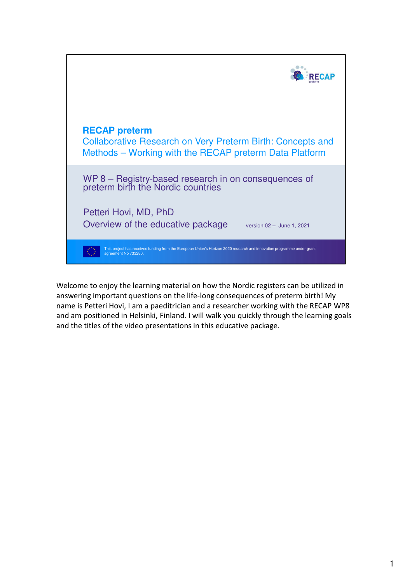

Welcome to enjoy the learning material on how the Nordic registers can be utilized in answering important questions on the life-long consequences of preterm birth! My name is Petteri Hovi, I am a paeditrician and a researcher working with the RECAP WP8 and am positioned in Helsinki, Finland. I will walk you quickly through the learning goals and the titles of the video presentations in this educative package.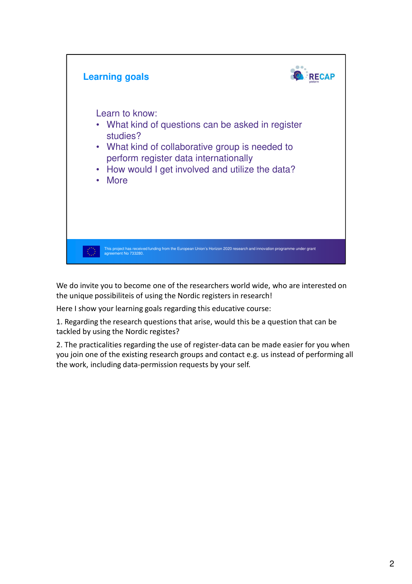

We do invite you to become one of the researchers world wide, who are interested on the unique possibiliteis of using the Nordic registers in research!

Here I show your learning goals regarding this educative course:

1. Regarding the research questions that arise, would this be a question that can be tackled by using the Nordic registes?

2. The practicalities regarding the use of register-data can be made easier for you when you join one of the existing research groups and contact e.g. us instead of performing all the work, including data-permission requests by your self.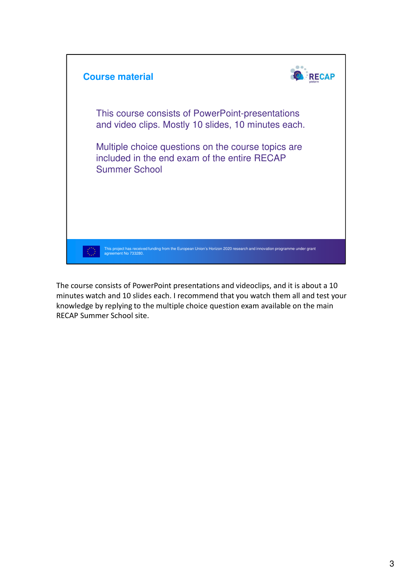

The course consists of PowerPoint presentations and videoclips, and it is about a 10 minutes watch and 10 slides each. I recommend that you watch them all and test your knowledge by replying to the multiple choice question exam available on the main RECAP Summer School site.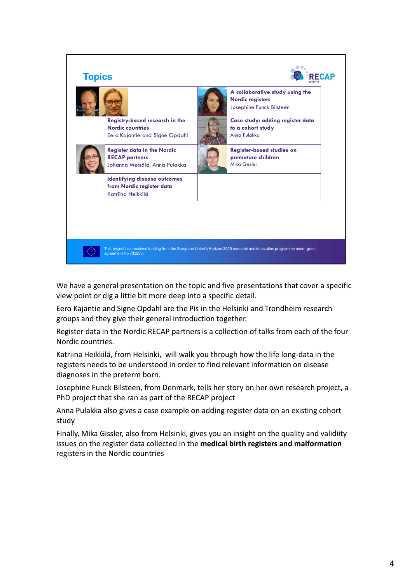

We have a general presentation on the topic and five presentations that cover a specific view point or dig a little bit more deep into a specific detail.

Eero Kajantie and Signe Opdahl are the Pis in the Helsinki and Trondheim research groups and they give their general introduction together.

Register data in the Nordic RECAP partners is a collection of talks from each of the four Nordic countries.

Katriina Heikkilä, from Helsinki, will walk you through how the life long-data in the registers needs to be understood in order to find relevant information on disease diagnoses in the preterm born.

Josephine Funck Bilsteen, from Denmark, tells her story on her own research project, a PhD project that she ran as part of the RECAP project

Anna Pulakka also gives a case example on adding register data on an existing cohort study

Finally, Mika Gissler, also from Helsinki, gives you an insight on the quality and validiity issues on the register data collected in the **medical birth registers and malformation** registers in the Nordic countries